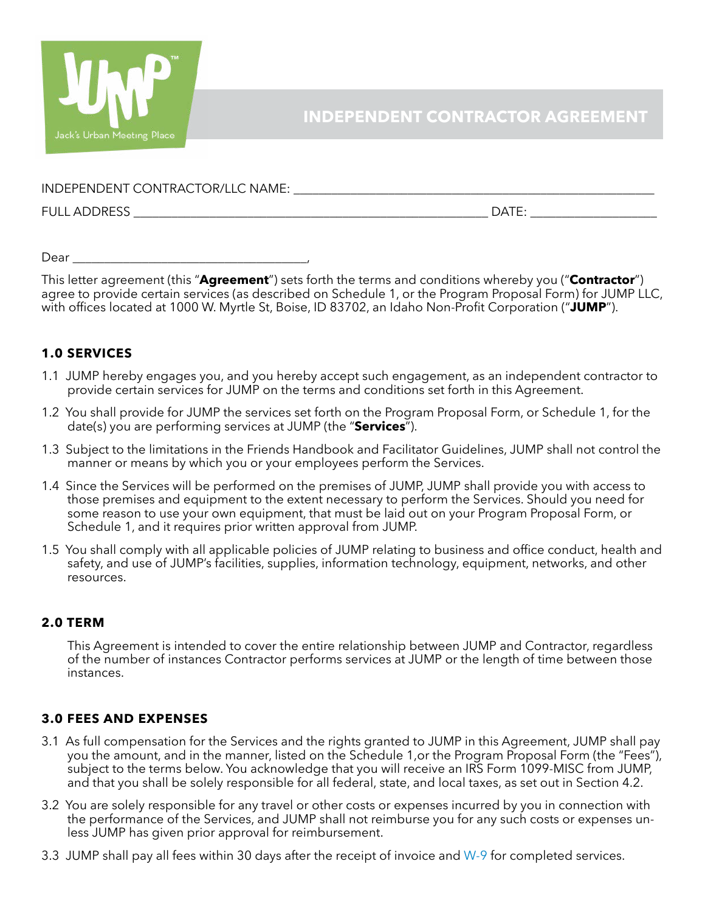

INDEPENDENT CONTRACTOR/LLC NAME: \_\_\_\_\_\_\_\_\_\_\_\_\_\_\_\_\_\_\_\_\_\_\_\_\_\_\_\_\_\_\_\_\_\_\_\_\_\_\_\_\_\_\_\_\_\_\_\_\_\_\_\_\_\_\_\_\_

FULL ADDRESS \_\_\_\_\_\_\_\_\_\_\_\_\_\_\_\_\_\_\_\_\_\_\_\_\_\_\_\_\_\_\_\_\_\_\_\_\_\_\_\_\_\_\_\_\_\_\_\_\_\_\_\_\_\_\_\_ DATE: \_\_\_\_\_\_\_\_\_\_\_\_\_\_\_\_\_\_\_\_

Dear **and a** 

This letter agreement (this "**Agreement**") sets forth the terms and conditions whereby you ("**Contractor**") agree to provide certain services (as described on Schedule 1, or the Program Proposal Form) for JUMP LLC, with offices located at 1000 W. Myrtle St, Boise, ID 83702, an Idaho Non-Profit Corporation ("**JUMP**").

# **1.0 SERVICES**

- 1.1 JUMP hereby engages you, and you hereby accept such engagement, as an independent contractor to provide certain services for JUMP on the terms and conditions set forth in this Agreement.
- 1.2 You shall provide for JUMP the services set forth on the Program Proposal Form, or Schedule 1, for the date(s) you are performing services at JUMP (the "**Services**").
- 1.3 Subject to the limitations in the Friends Handbook and Facilitator Guidelines, JUMP shall not control the manner or means by which you or your employees perform the Services.
- 1.4 Since the Services will be performed on the premises of JUMP, JUMP shall provide you with access to those premises and equipment to the extent necessary to perform the Services. Should you need for some reason to use your own equipment, that must be laid out on your Program Proposal Form, or Schedule 1, and it requires prior written approval from JUMP.
- 1.5 You shall comply with all applicable policies of JUMP relating to business and office conduct, health and safety, and use of JUMP's facilities, supplies, information technology, equipment, networks, and other resources.

# **2.0 TERM**

This Agreement is intended to cover the entire relationship between JUMP and Contractor, regardless of the number of instances Contractor performs services at JUMP or the length of time between those instances.

# **3.0 FEES AND EXPENSES**

- 3.1 As full compensation for the Services and the rights granted to JUMP in this Agreement, JUMP shall pay you the amount, and in the manner, listed on the Schedule 1,or the Program Proposal Form (the "Fees"), subject to the terms below. You acknowledge that you will receive an IRS Form 1099-MISC from JUMP, and that you shall be solely responsible for all federal, state, and local taxes, as set out in Section 4.2.
- 3.2 You are solely responsible for any travel or other costs or expenses incurred by you in connection with the performance of the Services, and JUMP shall not reimburse you for any such costs or expenses unless JUMP has given prior approval for reimbursement.
- 3.3 JUMP shall pay all fees within 30 days after the receipt of invoice and [W-9](http://jumpboise.org/media/pdfs/W9.pdf) for completed services.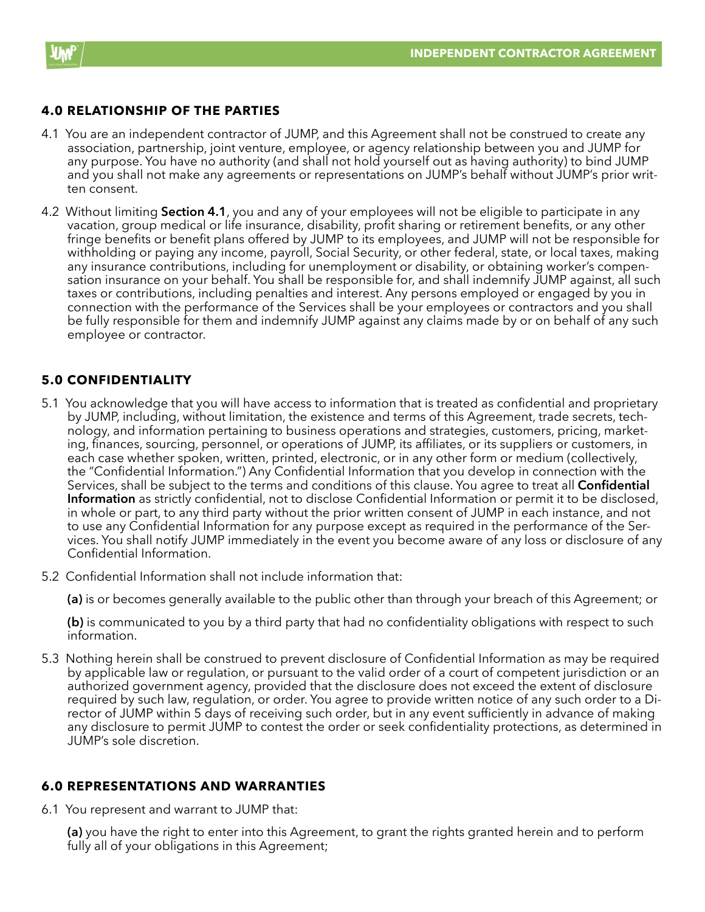

# **4.0 RELATIONSHIP OF THE PARTIES**

- 4.1 You are an independent contractor of JUMP, and this Agreement shall not be construed to create any association, partnership, joint venture, employee, or agency relationship between you and JUMP for any purpose. You have no authority (and shall not hold yourself out as having authority) to bind JUMP and you shall not make any agreements or representations on JUMP's behalf without JUMP's prior written consent.
- 4.2 Without limiting **Section 4.1**, you and any of your employees will not be eligible to participate in any vacation, group medical or life insurance, disability, profit sharing or retirement benefits, or any other fringe benefits or benefit plans offered by JUMP to its employees, and JUMP will not be responsible for withholding or paying any income, payroll, Social Security, or other federal, state, or local taxes, making any insurance contributions, including for unemployment or disability, or obtaining worker's compensation insurance on your behalf. You shall be responsible for, and shall indemnify JUMP against, all such taxes or contributions, including penalties and interest. Any persons employed or engaged by you in connection with the performance of the Services shall be your employees or contractors and you shall be fully responsible for them and indemnify JUMP against any claims made by or on behalf of any such employee or contractor.

## **5.0 CONFIDENTIALITY**

- 5.1 You acknowledge that you will have access to information that is treated as confidential and proprietary by JUMP, including, without limitation, the existence and terms of this Agreement, trade secrets, technology, and information pertaining to business operations and strategies, customers, pricing, marketing, finances, sourcing, personnel, or operations of JUMP, its affiliates, or its suppliers or customers, in each case whether spoken, written, printed, electronic, or in any other form or medium (collectively, the "Confidential Information.") Any Confidential Information that you develop in connection with the Services, shall be subject to the terms and conditions of this clause. You agree to treat all **Confidential Information** as strictly confidential, not to disclose Confidential Information or permit it to be disclosed, in whole or part, to any third party without the prior written consent of JUMP in each instance, and not to use any Confidential Information for any purpose except as required in the performance of the Services. You shall notify JUMP immediately in the event you become aware of any loss or disclosure of any Confidential Information.
- 5.2 Confidential Information shall not include information that:

**(a)** is or becomes generally available to the public other than through your breach of this Agreement; or

**(b)** is communicated to you by a third party that had no confidentiality obligations with respect to such information.

5.3 Nothing herein shall be construed to prevent disclosure of Confidential Information as may be required by applicable law or regulation, or pursuant to the valid order of a court of competent jurisdiction or an authorized government agency, provided that the disclosure does not exceed the extent of disclosure required by such law, regulation, or order. You agree to provide written notice of any such order to a Director of JUMP within 5 days of receiving such order, but in any event sufficiently in advance of making any disclosure to permit JUMP to contest the order or seek confidentiality protections, as determined in JUMP's sole discretion.

## **6.0 REPRESENTATIONS AND WARRANTIES**

6.1 You represent and warrant to JUMP that:

**(a)** you have the right to enter into this Agreement, to grant the rights granted herein and to perform fully all of your obligations in this Agreement;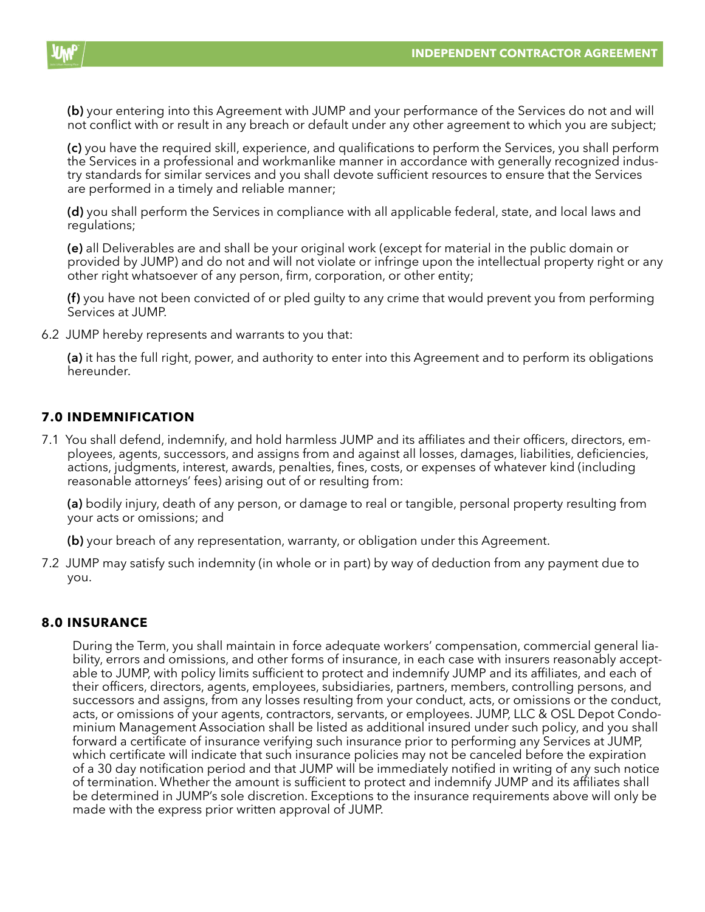

**(b)** your entering into this Agreement with JUMP and your performance of the Services do not and will not conflict with or result in any breach or default under any other agreement to which you are subject;

**(c)** you have the required skill, experience, and qualifications to perform the Services, you shall perform the Services in a professional and workmanlike manner in accordance with generally recognized industry standards for similar services and you shall devote sufficient resources to ensure that the Services are performed in a timely and reliable manner;

**(d)** you shall perform the Services in compliance with all applicable federal, state, and local laws and regulations;

**(e)** all Deliverables are and shall be your original work (except for material in the public domain or provided by JUMP) and do not and will not violate or infringe upon the intellectual property right or any other right whatsoever of any person, firm, corporation, or other entity;

**(f)** you have not been convicted of or pled guilty to any crime that would prevent you from performing Services at JUMP.

6.2 JUMP hereby represents and warrants to you that:

**(a)** it has the full right, power, and authority to enter into this Agreement and to perform its obligations hereunder.

## **7.0 INDEMNIFICATION**

7.1 You shall defend, indemnify, and hold harmless JUMP and its affiliates and their officers, directors, employees, agents, successors, and assigns from and against all losses, damages, liabilities, deficiencies, actions, judgments, interest, awards, penalties, fines, costs, or expenses of whatever kind (including reasonable attorneys' fees) arising out of or resulting from:

**(a)** bodily injury, death of any person, or damage to real or tangible, personal property resulting from your acts or omissions; and

**(b)** your breach of any representation, warranty, or obligation under this Agreement.

7.2 JUMP may satisfy such indemnity (in whole or in part) by way of deduction from any payment due to you.

#### **8.0 INSURANCE**

During the Term, you shall maintain in force adequate workers' compensation, commercial general liability, errors and omissions, and other forms of insurance, in each case with insurers reasonably acceptable to JUMP, with policy limits sufficient to protect and indemnify JUMP and its affiliates, and each of their officers, directors, agents, employees, subsidiaries, partners, members, controlling persons, and successors and assigns, from any losses resulting from your conduct, acts, or omissions or the conduct, acts, or omissions of your agents, contractors, servants, or employees. JUMP, LLC & OSL Depot Condominium Management Association shall be listed as additional insured under such policy, and you shall forward a certificate of insurance verifying such insurance prior to performing any Services at JUMP, which certificate will indicate that such insurance policies may not be canceled before the expiration of a 30 day notification period and that JUMP will be immediately notified in writing of any such notice of termination. Whether the amount is sufficient to protect and indemnify JUMP and its affiliates shall be determined in JUMP's sole discretion. Exceptions to the insurance requirements above will only be made with the express prior written approval of JUMP.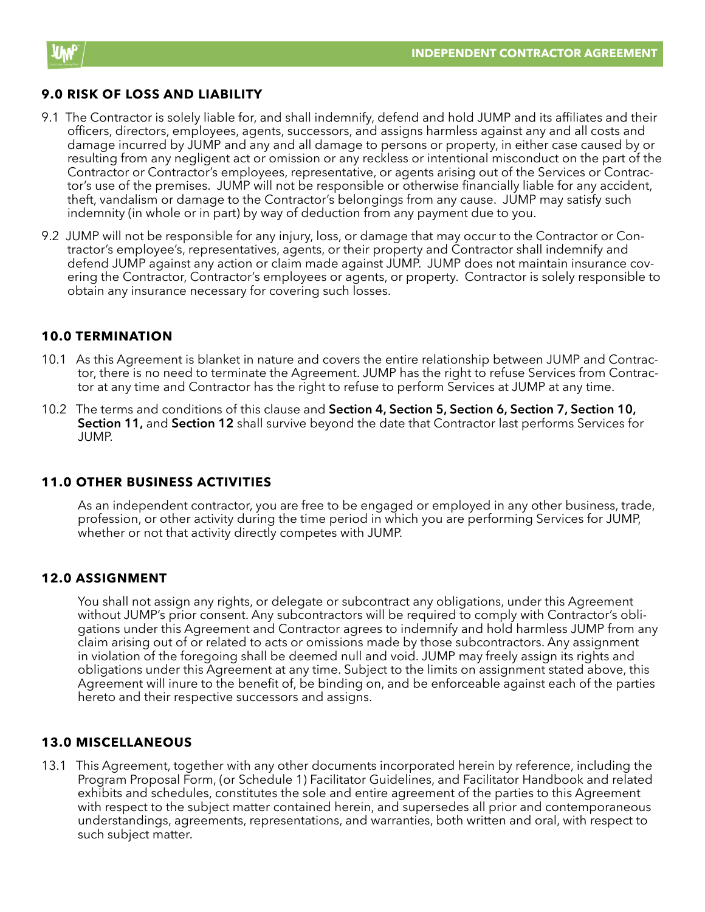

## **9.0 RISK OF LOSS AND LIABILITY**

- 9.1 The Contractor is solely liable for, and shall indemnify, defend and hold JUMP and its affiliates and their officers, directors, employees, agents, successors, and assigns harmless against any and all costs and damage incurred by JUMP and any and all damage to persons or property, in either case caused by or resulting from any negligent act or omission or any reckless or intentional misconduct on the part of the Contractor or Contractor's employees, representative, or agents arising out of the Services or Contractor's use of the premises. JUMP will not be responsible or otherwise financially liable for any accident, theft, vandalism or damage to the Contractor's belongings from any cause. JUMP may satisfy such indemnity (in whole or in part) by way of deduction from any payment due to you.
- 9.2 JUMP will not be responsible for any injury, loss, or damage that may occur to the Contractor or Contractor's employee's, representatives, agents, or their property and Contractor shall indemnify and defend JUMP against any action or claim made against JUMP. JUMP does not maintain insurance covering the Contractor, Contractor's employees or agents, or property. Contractor is solely responsible to obtain any insurance necessary for covering such losses.

#### **10.0 TERMINATION**

- 10.1 As this Agreement is blanket in nature and covers the entire relationship between JUMP and Contractor, there is no need to terminate the Agreement. JUMP has the right to refuse Services from Contractor at any time and Contractor has the right to refuse to perform Services at JUMP at any time.
- 10.2 The terms and conditions of this clause and **Section 4, Section 5, Section 6, Section 7, Section 10, Section 11,** and **Section 12** shall survive beyond the date that Contractor last performs Services for JUMP.

#### **11.0 OTHER BUSINESS ACTIVITIES**

As an independent contractor, you are free to be engaged or employed in any other business, trade, profession, or other activity during the time period in which you are performing Services for JUMP, whether or not that activity directly competes with JUMP.

#### **12.0 ASSIGNMENT**

You shall not assign any rights, or delegate or subcontract any obligations, under this Agreement without JUMP's prior consent. Any subcontractors will be required to comply with Contractor's obligations under this Agreement and Contractor agrees to indemnify and hold harmless JUMP from any claim arising out of or related to acts or omissions made by those subcontractors. Any assignment in violation of the foregoing shall be deemed null and void. JUMP may freely assign its rights and obligations under this Agreement at any time. Subject to the limits on assignment stated above, this Agreement will inure to the benefit of, be binding on, and be enforceable against each of the parties hereto and their respective successors and assigns.

## **13.0 MISCELLANEOUS**

13.1 This Agreement, together with any other documents incorporated herein by reference, including the Program Proposal Form, (or Schedule 1) Facilitator Guidelines, and Facilitator Handbook and related exhibits and schedules, constitutes the sole and entire agreement of the parties to this Agreement with respect to the subject matter contained herein, and supersedes all prior and contemporaneous understandings, agreements, representations, and warranties, both written and oral, with respect to such subject matter.